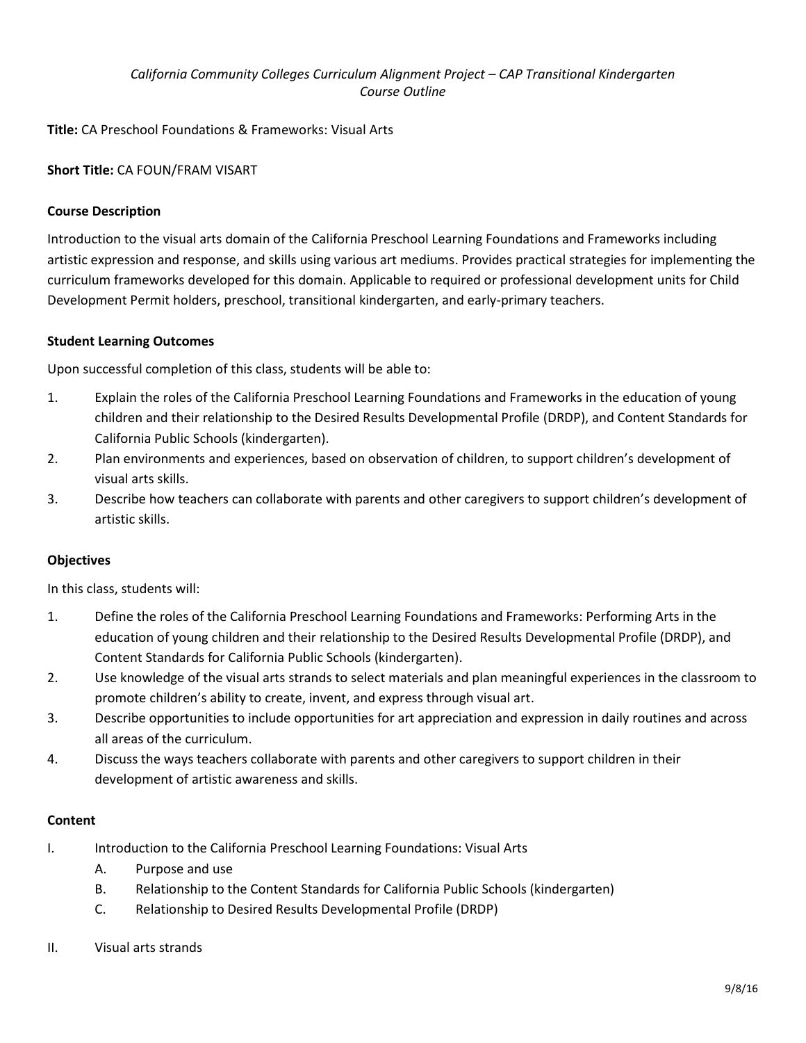# *California Community Colleges Curriculum Alignment Project – CAP Transitional Kindergarten Course Outline*

**Title:** CA Preschool Foundations & Frameworks: Visual Arts

# **Short Title:** CA FOUN/FRAM VISART

## **Course Description**

Introduction to the visual arts domain of the California Preschool Learning Foundations and Frameworks including artistic expression and response, and skills using various art mediums. Provides practical strategies for implementing the curriculum frameworks developed for this domain. Applicable to required or professional development units for Child Development Permit holders, preschool, transitional kindergarten, and early-primary teachers.

### **Student Learning Outcomes**

Upon successful completion of this class, students will be able to:

- 1. Explain the roles of the California Preschool Learning Foundations and Frameworks in the education of young children and their relationship to the Desired Results Developmental Profile (DRDP), and Content Standards for California Public Schools (kindergarten).
- 2. Plan environments and experiences, based on observation of children, to support children's development of visual arts skills.
- 3. Describe how teachers can collaborate with parents and other caregivers to support children's development of artistic skills.

## **Objectives**

In this class, students will:

- 1. Define the roles of the California Preschool Learning Foundations and Frameworks: Performing Arts in the education of young children and their relationship to the Desired Results Developmental Profile (DRDP), and Content Standards for California Public Schools (kindergarten).
- 2. Use knowledge of the visual arts strands to select materials and plan meaningful experiences in the classroom to promote children's ability to create, invent, and express through visual art.
- 3. Describe opportunities to include opportunities for art appreciation and expression in daily routines and across all areas of the curriculum.
- 4. Discuss the ways teachers collaborate with parents and other caregivers to support children in their development of artistic awareness and skills.

### **Content**

- I. Introduction to the California Preschool Learning Foundations: Visual Arts
	- A. Purpose and use
	- B. Relationship to the Content Standards for California Public Schools (kindergarten)
	- C. Relationship to Desired Results Developmental Profile (DRDP)
- II. Visual arts strands